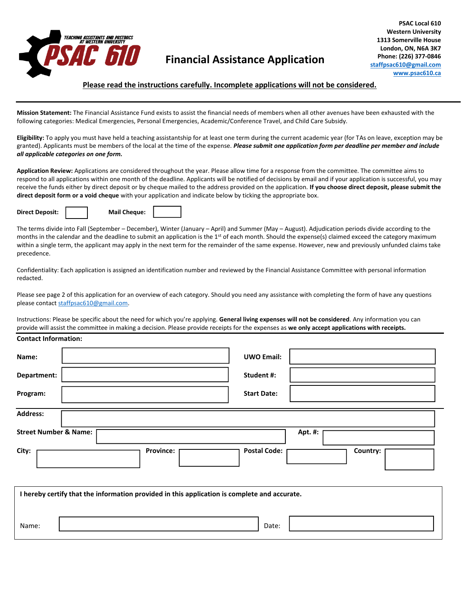

# **Financial Assistance Application**

## **Please read the instructions carefully. Incomplete applications will not be considered.**

**Mission Statement:** The Financial Assistance Fund exists to assist the financial needs of members when all other avenues have been exhausted with the following categories: Medical Emergencies, Personal Emergencies, Academic/Conference Travel, and Child Care Subsidy.

**Eligibility:** To apply you must have held a teaching assistantship for at least one term during the current academic year (for TAs on leave, exception may be granted). Applicants must be members of the local at the time of the expense. *Please submit one application form per deadline per member and include all applicable categories on one form.* 

**Application Review:** Applications are considered throughout the year. Please allow time for a response from the committee. The committee aims to respond to all applications within one month of the deadline. Applicants will be notified of decisions by email and if your application is successful, you may receive the funds either by direct deposit or by cheque mailed to the address provided on the application. **If you choose direct deposit, please submit the direct deposit form or a void cheque** with your application and indicate below by ticking the appropriate box.

**Direct Deposit: Mail Cheque:**

The terms divide into Fall (September – December), Winter (January – April) and Summer (May – August). Adjudication periods divide according to the months in the calendar and the deadline to submit an application is the  $1<sup>st</sup>$  of each month. Should the expense(s) claimed exceed the category maximum within a single term, the applicant may apply in the next term for the remainder of the same expense. However, new and previously unfunded claims take precedence.

Confidentiality: Each application is assigned an identification number and reviewed by the Financial Assistance Committee with personal information redacted.

Please see page 2 of this application for an overview of each category. Should you need any assistance with completing the form of have any questions please contac[t staffpsac610@gmail.com.](mailto:staffpsac610@gmail.com)

Instructions: Please be specific about the need for which you're applying. **General living expenses will not be considered**. Any information you can provide will assist the committee in making a decision. Please provide receipts for the expenses as **we only accept applications with receipts.**

## **Contact Information:**

| Name:                            |                  | <b>UWO Email:</b>   |         |          |
|----------------------------------|------------------|---------------------|---------|----------|
| Department:                      |                  | Student #:          |         |          |
| Program:                         |                  | <b>Start Date:</b>  |         |          |
| <b>Address:</b>                  |                  |                     |         |          |
| <b>Street Number &amp; Name:</b> |                  |                     | Apt. #: |          |
| City:                            | <b>Province:</b> | <b>Postal Code:</b> |         | Country: |

|       | I hereby certify that the information provided in this application is complete and accurate. |       |  |
|-------|----------------------------------------------------------------------------------------------|-------|--|
| Name: |                                                                                              | Date: |  |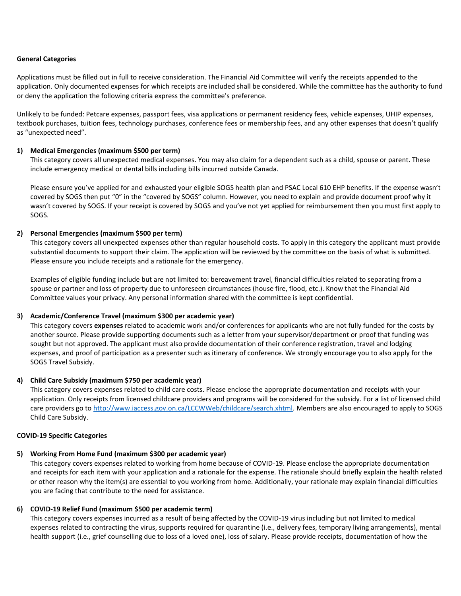## **General Categories**

Applications must be filled out in full to receive consideration. The Financial Aid Committee will verify the receipts appended to the application. Only documented expenses for which receipts are included shall be considered. While the committee has the authority to fund or deny the application the following criteria express the committee's preference.

Unlikely to be funded: Petcare expenses, passport fees, visa applications or permanent residency fees, vehicle expenses, UHIP expenses, textbook purchases, tuition fees, technology purchases, conference fees or membership fees, and any other expenses that doesn't qualify as "unexpected need".

# **1) Medical Emergencies (maximum \$500 per term)**

This category covers all unexpected medical expenses. You may also claim for a dependent such as a child, spouse or parent. These include emergency medical or dental bills including bills incurred outside Canada.

Please ensure you've applied for and exhausted your eligible SOGS health plan and PSAC Local 610 EHP benefits. If the expense wasn't covered by SOGS then put "0" in the "covered by SOGS" column. However, you need to explain and provide document proof why it wasn't covered by SOGS. If your receipt is covered by SOGS and you've not yet applied for reimbursement then you must first apply to SOGS.

## **2) Personal Emergencies (maximum \$500 per term)**

This category covers all unexpected expenses other than regular household costs. To apply in this category the applicant must provide substantial documents to support their claim. The application will be reviewed by the committee on the basis of what is submitted. Please ensure you include receipts and a rationale for the emergency.

Examples of eligible funding include but are not limited to: bereavement travel, financial difficulties related to separating from a spouse or partner and loss of property due to unforeseen circumstances (house fire, flood, etc.). Know that the Financial Aid Committee values your privacy. Any personal information shared with the committee is kept confidential.

#### **3) Academic/Conference Travel (maximum \$300 per academic year)**

This category covers **expenses** related to academic work and/or conferences for applicants who are not fully funded for the costs by another source. Please provide supporting documents such as a letter from your supervisor/department or proof that funding was sought but not approved. The applicant must also provide documentation of their conference registration, travel and lodging expenses, and proof of participation as a presenter such as itinerary of conference. We strongly encourage you to also apply for the SOGS Travel Subsidy.

#### **4) Child Care Subsidy (maximum \$750 per academic year)**

This category covers expenses related to child care costs. Please enclose the appropriate documentation and receipts with your application. Only receipts from licensed childcare providers and programs will be considered for the subsidy. For a list of licensed child care providers go to [http://www.iaccess.gov.on.ca/LCCWWeb/childcare/search.xhtml.](http://www.iaccess.gov.on.ca/LCCWWeb/childcare/search.xhtml) Members are also encouraged to apply to SOGS Child Care Subsidy.

#### **COVID-19 Specific Categories**

# **5) Working From Home Fund (maximum \$300 per academic year)**

This category covers expenses related to working from home because of COVID-19. Please enclose the appropriate documentation and receipts for each item with your application and a rationale for the expense. The rationale should briefly explain the health related or other reason why the item(s) are essential to you working from home. Additionally, your rationale may explain financial difficulties you are facing that contribute to the need for assistance.

#### **6) COVID-19 Relief Fund (maximum \$500 per academic term)**

This category covers expenses incurred as a result of being affected by the COVID-19 virus including but not limited to medical expenses related to contracting the virus, supports required for quarantine (i.e., delivery fees, temporary living arrangements), mental health support (i.e., grief counselling due to loss of a loved one), loss of salary. Please provide receipts, documentation of how the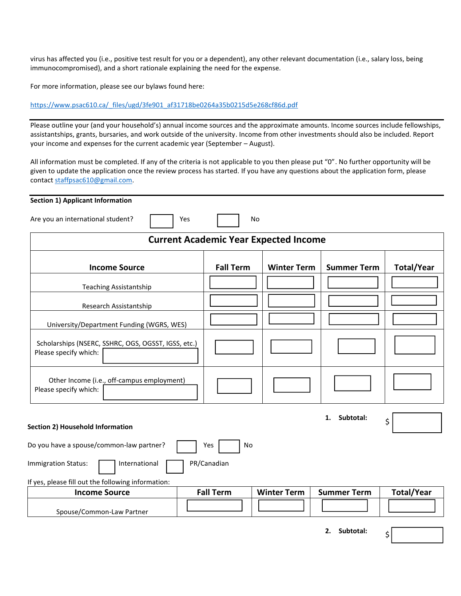virus has affected you (i.e., positive test result for you or a dependent), any other relevant documentation (i.e., salary loss, being immunocompromised), and a short rationale explaining the need for the expense.

For more information, please see our bylaws found here:

[https://www.psac610.ca/\\_files/ugd/3fe901\\_af31718be0264a35b0215d5e268cf86d.pdf](https://www.psac610.ca/_files/ugd/3fe901_af31718be0264a35b0215d5e268cf86d.pdf)

Please outline your (and your household's) annual income sources and the approximate amounts. Income sources include fellowships, assistantships, grants, bursaries, and work outside of the university. Income from other investments should also be included. Report your income and expenses for the current academic year (September – August).

All information must be completed. If any of the criteria is not applicable to you then please put "0". No further opportunity will be given to update the application once the review process has started. If you have any questions about the application form, please contact [staffpsac610@gmail.com.](mailto:staffpsac610@gmail.com)

## **Section 1) Applicant Information**

Are you an international student? <br>
No

| <b>Current Academic Year Expected Income</b>                                 |                  |                    |                    |                   |  |
|------------------------------------------------------------------------------|------------------|--------------------|--------------------|-------------------|--|
| <b>Income Source</b>                                                         | <b>Fall Term</b> | <b>Winter Term</b> | <b>Summer Term</b> | <b>Total/Year</b> |  |
| <b>Teaching Assistantship</b>                                                |                  |                    |                    |                   |  |
| Research Assistantship                                                       |                  |                    |                    |                   |  |
| University/Department Funding (WGRS, WES)                                    |                  |                    |                    |                   |  |
| Scholarships (NSERC, SSHRC, OGS, OGSST, IGSS, etc.)<br>Please specify which: |                  |                    |                    |                   |  |
| Other Income (i.e., off-campus employment)<br>Please specify which:          |                  |                    |                    |                   |  |
| Subtotal:<br>1.<br>\$<br><b>Section 2) Household Information</b>             |                  |                    |                    |                   |  |
| Do you have a spouse/common-law partner?                                     | <b>No</b><br>Yes |                    |                    |                   |  |
| International<br>PR/Canadian<br><b>Immigration Status:</b>                   |                  |                    |                    |                   |  |
| If yes, please fill out the following information:                           |                  |                    |                    |                   |  |
| <b>Income Source</b>                                                         | <b>Fall Term</b> | <b>Winter Term</b> | <b>Summer Term</b> | <b>Total/Year</b> |  |
| Spouse/Common-Law Partner                                                    |                  |                    |                    |                   |  |

**2. Subtotal:** 

\$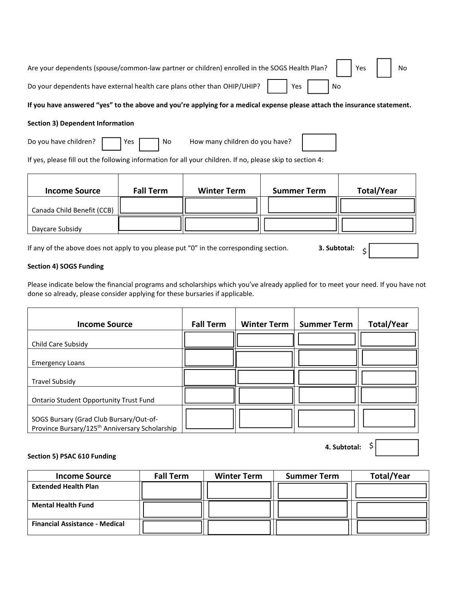| Are your dependents (spouse/common-law partner or children) enrolled in the SOGS Health Plan? |       |    | $ $ Yes | No |
|-----------------------------------------------------------------------------------------------|-------|----|---------|----|
| Do your dependents have external health care plans other than OHIP/UHIP?                      | Yes I | No |         |    |

# If you have answered "yes" to the above and you're applying for a medical expense please attach the insurance statement.

## **Section 3) Dependent Information**

| Do you have children? |  | $\vert$ Yes $\vert$ |  | l No | How many children do you have? |
|-----------------------|--|---------------------|--|------|--------------------------------|
|-----------------------|--|---------------------|--|------|--------------------------------|

If yes, please fill out the following information for all your children. If no, please skip to section 4:

| <b>Income Source</b>       | <b>Fall Term</b> | <b>Winter Term</b> | <b>Summer Term</b> | <b>Total/Year</b> |
|----------------------------|------------------|--------------------|--------------------|-------------------|
| Canada Child Benefit (CCB) |                  |                    |                    |                   |
| Daycare Subsidy            |                  |                    |                    |                   |

If any of the above does not apply to you please put "0" in the corresponding section. **3. Subtotal:**

# **Section 4) SOGS Funding**

Please indicate below the financial programs and scholarships which you've already applied for to meet your need. If you have not done so already, please consider applying for these bursaries if applicable.

| <b>Income Source</b>                                                                                  | <b>Fall Term</b> | <b>Winter Term</b> | <b>Summer Term</b> | <b>Total/Year</b> |
|-------------------------------------------------------------------------------------------------------|------------------|--------------------|--------------------|-------------------|
| Child Care Subsidy                                                                                    |                  |                    |                    |                   |
| <b>Emergency Loans</b>                                                                                |                  |                    |                    |                   |
| <b>Travel Subsidy</b>                                                                                 |                  |                    |                    |                   |
| <b>Ontario Student Opportunity Trust Fund</b>                                                         |                  |                    |                    |                   |
| SOGS Bursary (Grad Club Bursary/Out-of-<br>Province Bursary/125 <sup>th</sup> Anniversary Scholarship |                  |                    |                    |                   |

**4. Subtotal:** 

\$

\$

# **Section 5) PSAC 610 Funding**

| <b>Income Source</b>                  | <b>Fall Term</b> | <b>Winter Term</b> | <b>Summer Term</b> | <b>Total/Year</b> |
|---------------------------------------|------------------|--------------------|--------------------|-------------------|
| <b>Extended Health Plan</b>           |                  |                    |                    |                   |
|                                       |                  |                    |                    |                   |
| <b>Mental Health Fund</b>             |                  |                    |                    |                   |
|                                       |                  |                    |                    |                   |
| <b>Financial Assistance - Medical</b> |                  |                    |                    |                   |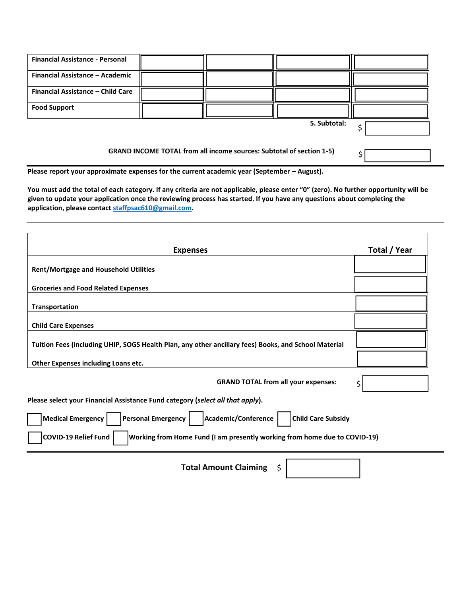| <b>Financial Assistance - Personal</b>                                      |  |              |  |
|-----------------------------------------------------------------------------|--|--------------|--|
| Financial Assistance - Academic                                             |  |              |  |
| Financial Assistance - Child Care                                           |  |              |  |
| <b>Food Support</b>                                                         |  |              |  |
|                                                                             |  | 5. Subtotal: |  |
| <b>GRAND INCOME TOTAL from all income sources: Subtotal of section 1-5)</b> |  |              |  |

Please report your approximate expenses for the current academic year (September - August).

**You must add the total of each category. If any criteria are not applicable, please enter "0" (zero). No further opportunity will be given to update your application once the reviewing process has started. If you have any questions about completing the application, please contact [staffpsac610@gmail.com.](mailto:staffpsac610@gmail.com)** 

\$

| <b>Expenses</b>                                                                                           | Total / Year |
|-----------------------------------------------------------------------------------------------------------|--------------|
| <b>Rent/Mortgage and Household Utilities</b>                                                              |              |
| <b>Groceries and Food Related Expenses</b>                                                                |              |
| Transportation                                                                                            |              |
| <b>Child Care Expenses</b>                                                                                |              |
| Tuition Fees (including UHIP, SOGS Health Plan, any other ancillary fees) Books, and School Material      |              |
| Other Expenses including Loans etc.                                                                       |              |
| <b>GRAND TOTAL from all your expenses:</b>                                                                | \$           |
| Please select your Financial Assistance Fund category (select all that apply).                            |              |
| <b>Medical Emergency</b><br><b>Personal Emergency</b><br>Academic/Conference<br><b>Child Care Subsidy</b> |              |
| <b>COVID-19 Relief Fund</b><br>Working from Home Fund (I am presently working from home due to COVID-19)  |              |
| <b>Total Amount Claiming</b><br>\$                                                                        |              |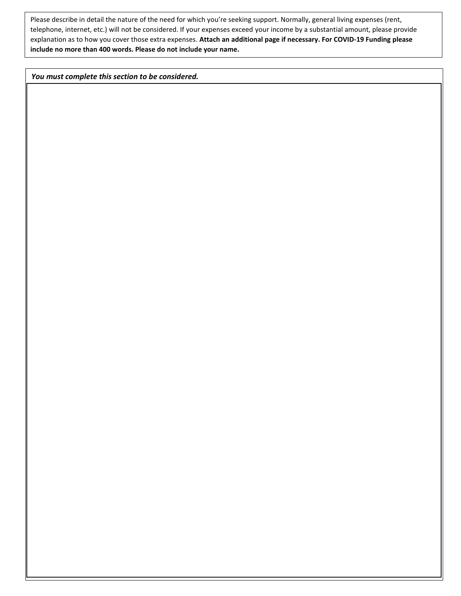Please describe in detail the nature of the need for which you're seeking support. Normally, general living expenses (rent, telephone, internet, etc.) will not be considered. If your expenses exceed your income by a substantial amount, please provide explanation as to how you cover those extra expenses. **Attach an additional page if necessary. For COVID-19 Funding please include no more than 400 words. Please do not include your name.** 

*You must complete this section to be considered.*